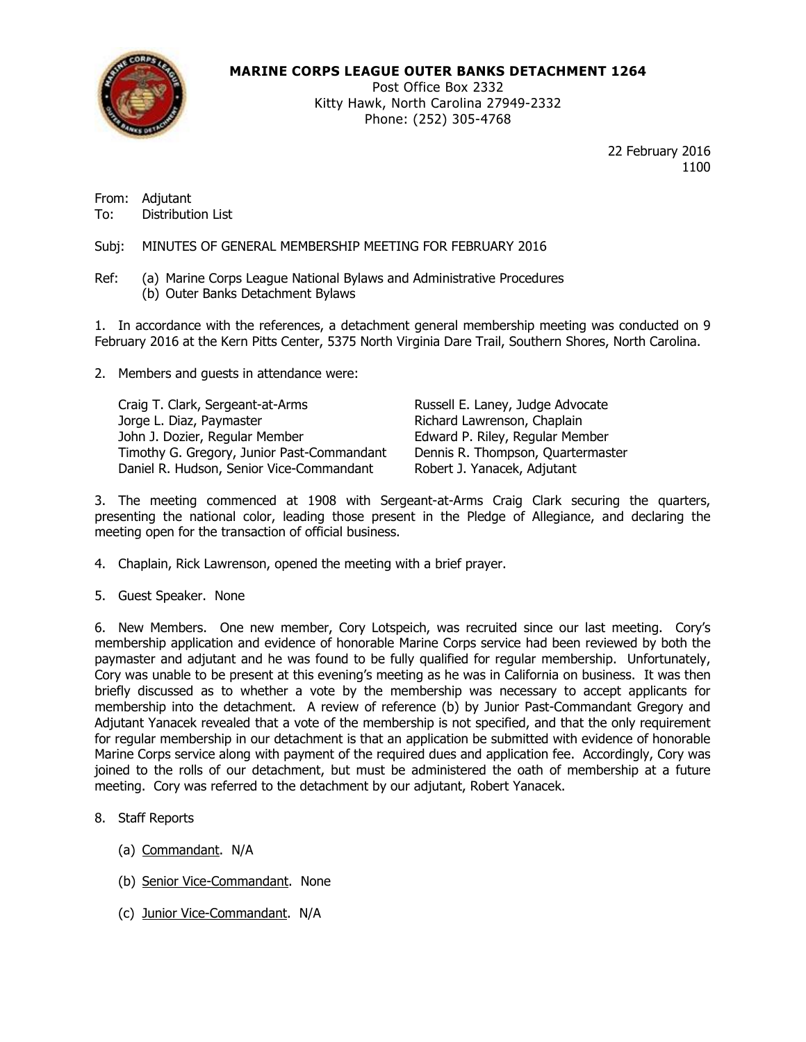

# **MARINE CORPS LEAGUE OUTER BANKS DETACHMENT 1264**

Post Office Box 2332 Kitty Hawk, North Carolina 27949-2332 Phone: (252) 305-4768

> 22 February 2016 1100

From: Adjutant To: Distribution List

Subj: MINUTES OF GENERAL MEMBERSHIP MEETING FOR FEBRUARY 2016

Ref: (a) Marine Corps League National Bylaws and Administrative Procedures (b) Outer Banks Detachment Bylaws

1. In accordance with the references, a detachment general membership meeting was conducted on 9 February 2016 at the Kern Pitts Center, 5375 North Virginia Dare Trail, Southern Shores, North Carolina.

2. Members and guests in attendance were:

Craig T. Clark, Sergeant-at-Arms Russell E. Laney, Judge Advocate Jorge L. Diaz, Paymaster **Richard Lawrenson, Chaplain** John J. Dozier, Regular Member **Edward P. Riley, Regular Member** Timothy G. Gregory, Junior Past-Commandant Dennis R. Thompson, Quartermaster Daniel R. Hudson, Senior Vice-Commandant Robert J. Yanacek, Adjutant

3. The meeting commenced at 1908 with Sergeant-at-Arms Craig Clark securing the quarters, presenting the national color, leading those present in the Pledge of Allegiance, and declaring the meeting open for the transaction of official business.

- 4. Chaplain, Rick Lawrenson, opened the meeting with a brief prayer.
- 5. Guest Speaker. None

6. New Members. One new member, Cory Lotspeich, was recruited since our last meeting. Cory's membership application and evidence of honorable Marine Corps service had been reviewed by both the paymaster and adjutant and he was found to be fully qualified for regular membership. Unfortunately, Cory was unable to be present at this evening's meeting as he was in California on business. It was then briefly discussed as to whether a vote by the membership was necessary to accept applicants for membership into the detachment. A review of reference (b) by Junior Past-Commandant Gregory and Adjutant Yanacek revealed that a vote of the membership is not specified, and that the only requirement for regular membership in our detachment is that an application be submitted with evidence of honorable Marine Corps service along with payment of the required dues and application fee. Accordingly, Cory was joined to the rolls of our detachment, but must be administered the oath of membership at a future meeting. Cory was referred to the detachment by our adjutant, Robert Yanacek.

- 8. Staff Reports
	- (a) Commandant. N/A
	- (b) Senior Vice-Commandant. None
	- (c) Junior Vice-Commandant. N/A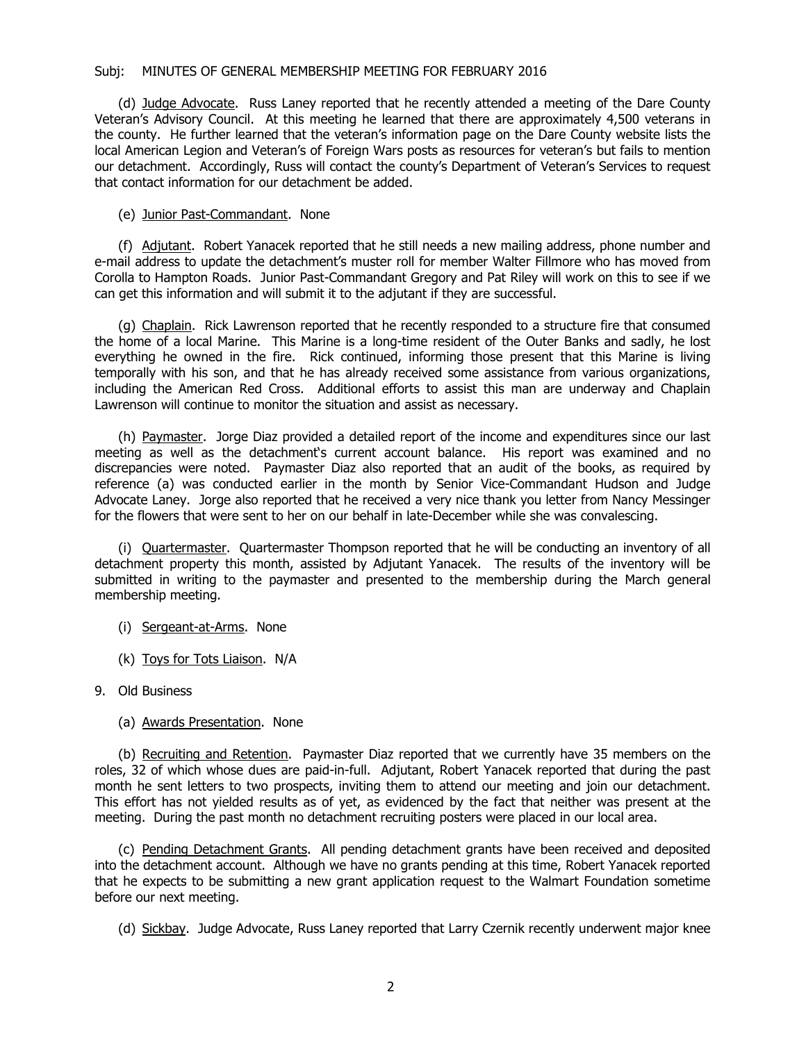#### Subj: MINUTES OF GENERAL MEMBERSHIP MEETING FOR FEBRUARY 2016

(d) Judge Advocate. Russ Laney reported that he recently attended a meeting of the Dare County Veteran's Advisory Council. At this meeting he learned that there are approximately 4,500 veterans in the county. He further learned that the veteran's information page on the Dare County website lists the local American Legion and Veteran's of Foreign Wars posts as resources for veteran's but fails to mention our detachment. Accordingly, Russ will contact the county's Department of Veteran's Services to request that contact information for our detachment be added.

## (e) Junior Past-Commandant. None

(f) Adjutant. Robert Yanacek reported that he still needs a new mailing address, phone number and e-mail address to update the detachment's muster roll for member Walter Fillmore who has moved from Corolla to Hampton Roads. Junior Past-Commandant Gregory and Pat Riley will work on this to see if we can get this information and will submit it to the adjutant if they are successful.

(g) Chaplain. Rick Lawrenson reported that he recently responded to a structure fire that consumed the home of a local Marine. This Marine is a long-time resident of the Outer Banks and sadly, he lost everything he owned in the fire. Rick continued, informing those present that this Marine is living temporally with his son, and that he has already received some assistance from various organizations, including the American Red Cross. Additional efforts to assist this man are underway and Chaplain Lawrenson will continue to monitor the situation and assist as necessary.

(h) Paymaster. Jorge Diaz provided a detailed report of the income and expenditures since our last meeting as well as the detachment's current account balance. His report was examined and no discrepancies were noted. Paymaster Diaz also reported that an audit of the books, as required by reference (a) was conducted earlier in the month by Senior Vice-Commandant Hudson and Judge Advocate Laney. Jorge also reported that he received a very nice thank you letter from Nancy Messinger for the flowers that were sent to her on our behalf in late-December while she was convalescing.

(i) Quartermaster. Quartermaster Thompson reported that he will be conducting an inventory of all detachment property this month, assisted by Adjutant Yanacek. The results of the inventory will be submitted in writing to the paymaster and presented to the membership during the March general membership meeting.

- (i) Sergeant-at-Arms. None
- (k) Toys for Tots Liaison. N/A
- 9. Old Business
	- (a) Awards Presentation. None

(b) Recruiting and Retention. Paymaster Diaz reported that we currently have 35 members on the roles, 32 of which whose dues are paid-in-full. Adjutant, Robert Yanacek reported that during the past month he sent letters to two prospects, inviting them to attend our meeting and join our detachment. This effort has not yielded results as of yet, as evidenced by the fact that neither was present at the meeting. During the past month no detachment recruiting posters were placed in our local area.

(c) Pending Detachment Grants. All pending detachment grants have been received and deposited into the detachment account. Although we have no grants pending at this time, Robert Yanacek reported that he expects to be submitting a new grant application request to the Walmart Foundation sometime before our next meeting.

(d) Sickbay. Judge Advocate, Russ Laney reported that Larry Czernik recently underwent major knee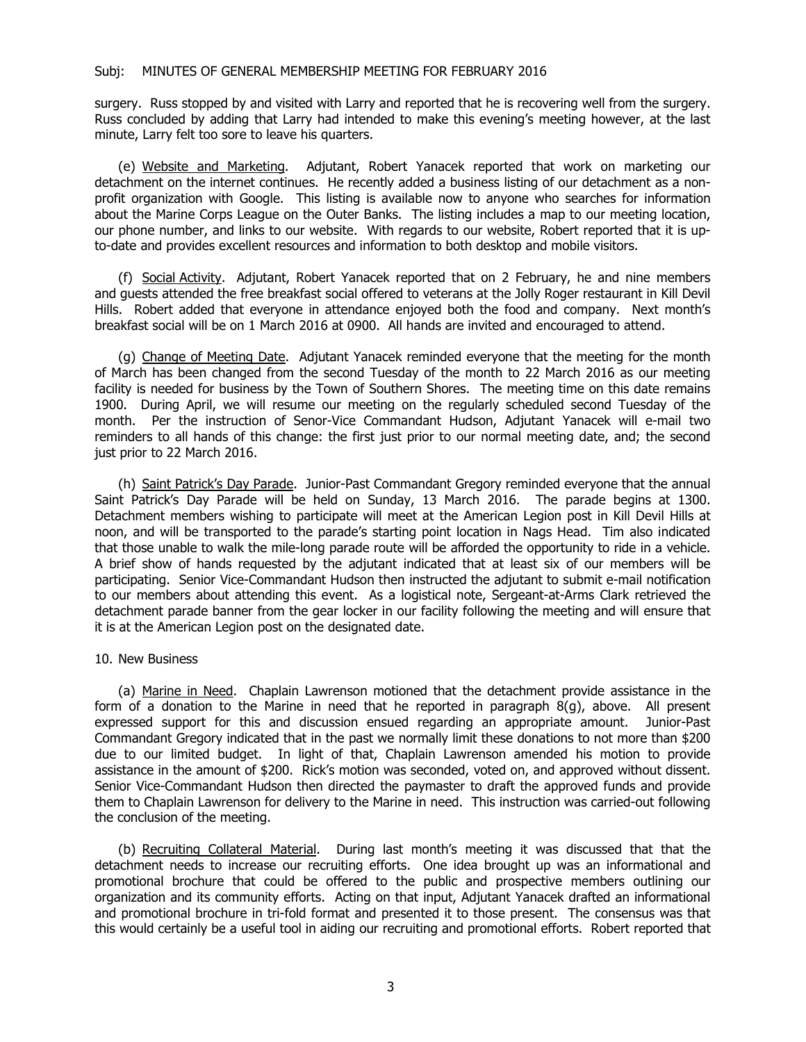surgery. Russ stopped by and visited with Larry and reported that he is recovering well from the surgery. Russ concluded by adding that Larry had intended to make this evening's meeting however, at the last minute, Larry felt too sore to leave his quarters.

(e) Website and Marketing. Adjutant, Robert Yanacek reported that work on marketing our detachment on the internet continues. He recently added a business listing of our detachment as a nonprofit organization with Google. This listing is available now to anyone who searches for information about the Marine Corps League on the Outer Banks. The listing includes a map to our meeting location, our phone number, and links to our website. With regards to our website, Robert reported that it is upto-date and provides excellent resources and information to both desktop and mobile visitors.

(f) Social Activity. Adjutant, Robert Yanacek reported that on 2 February, he and nine members and guests attended the free breakfast social offered to veterans at the Jolly Roger restaurant in Kill Devil Hills. Robert added that everyone in attendance enjoyed both the food and company. Next month's breakfast social will be on 1 March 2016 at 0900. All hands are invited and encouraged to attend.

(g) Change of Meeting Date. Adjutant Yanacek reminded everyone that the meeting for the month of March has been changed from the second Tuesday of the month to 22 March 2016 as our meeting facility is needed for business by the Town of Southern Shores. The meeting time on this date remains 1900. During April, we will resume our meeting on the regularly scheduled second Tuesday of the month. Per the instruction of Senor-Vice Commandant Hudson, Adjutant Yanacek will e-mail two reminders to all hands of this change: the first just prior to our normal meeting date, and; the second just prior to 22 March 2016.

(h) Saint Patrick's Day Parade. Junior-Past Commandant Gregory reminded everyone that the annual Saint Patrick's Day Parade will be held on Sunday, 13 March 2016. The parade begins at 1300. Detachment members wishing to participate will meet at the American Legion post in Kill Devil Hills at noon, and will be transported to the parade's starting point location in Nags Head. Tim also indicated that those unable to walk the mile-long parade route will be afforded the opportunity to ride in a vehicle. A brief show of hands requested by the adjutant indicated that at least six of our members will be participating. Senior Vice-Commandant Hudson then instructed the adjutant to submit e-mail notification to our members about attending this event. As a logistical note, Sergeant-at-Arms Clark retrieved the detachment parade banner from the gear locker in our facility following the meeting and will ensure that it is at the American Legion post on the designated date.

#### 10. New Business

(a) Marine in Need. Chaplain Lawrenson motioned that the detachment provide assistance in the form of a donation to the Marine in need that he reported in paragraph 8(g), above. All present expressed support for this and discussion ensued regarding an appropriate amount. Junior-Past Commandant Gregory indicated that in the past we normally limit these donations to not more than \$200 due to our limited budget. In light of that, Chaplain Lawrenson amended his motion to provide assistance in the amount of \$200. Rick's motion was seconded, voted on, and approved without dissent. Senior Vice-Commandant Hudson then directed the paymaster to draft the approved funds and provide them to Chaplain Lawrenson for delivery to the Marine in need. This instruction was carried-out following the conclusion of the meeting.

(b) Recruiting Collateral Material. During last month's meeting it was discussed that that the detachment needs to increase our recruiting efforts. One idea brought up was an informational and promotional brochure that could be offered to the public and prospective members outlining our organization and its community efforts. Acting on that input, Adjutant Yanacek drafted an informational and promotional brochure in tri-fold format and presented it to those present. The consensus was that this would certainly be a useful tool in aiding our recruiting and promotional efforts. Robert reported that